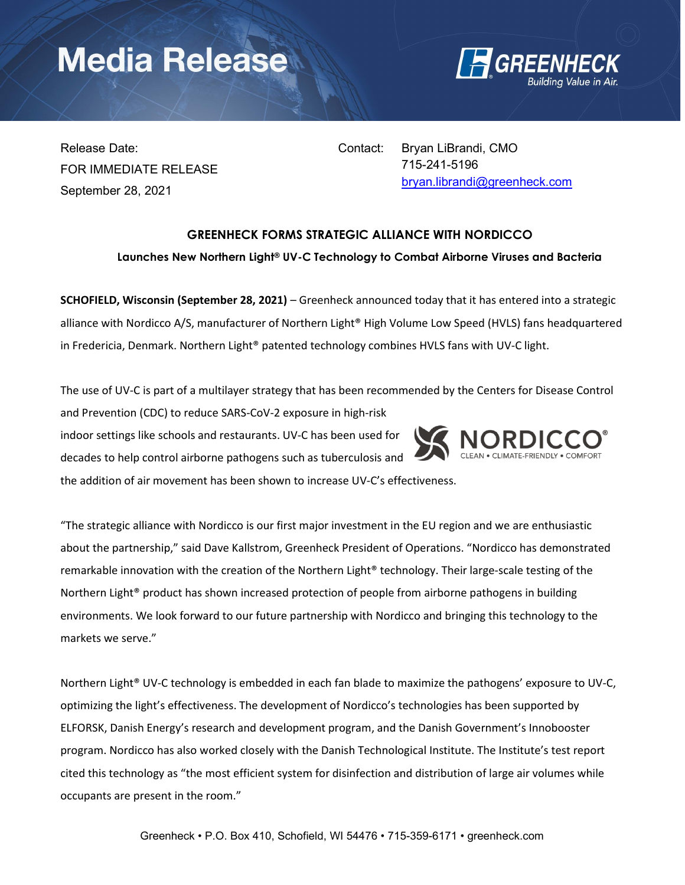# **Media Release**



Release Date: FOR IMMEDIATE RELEASE September 28, 2021

Contact: Bryan LiBrandi, CMO 715-241-5196 bryan.librandi@greenheck.com

### GREENHECK FORMS STRATEGIC ALLIANCE WITH NORDICCO

Launches New Northern Light® UV-C Technology to Combat Airborne Viruses and Bacteria

SCHOFIELD, Wisconsin (September 28, 2021) – Greenheck announced today that it has entered into a strategic alliance with Nordicco A/S, manufacturer of Northern Light® High Volume Low Speed (HVLS) fans headquartered in Fredericia, Denmark. Northern Light® patented technology combines HVLS fans with UV-C light.

The use of UV-C is part of a multilayer strategy that has been recommended by the Centers for Disease Control

and Prevention (CDC) to reduce SARS-CoV-2 exposure in high-risk indoor settings like schools and restaurants. UV-C has been used for decades to help control airborne pathogens such as tuberculosis and

the addition of air movement has been shown to increase UV-C's effectiveness.



"The strategic alliance with Nordicco is our first major investment in the EU region and we are enthusiastic about the partnership," said Dave Kallstrom, Greenheck President of Operations. "Nordicco has demonstrated remarkable innovation with the creation of the Northern Light® technology. Their large-scale testing of the Northern Light® product has shown increased protection of people from airborne pathogens in building environments. We look forward to our future partnership with Nordicco and bringing this technology to the markets we serve."

Northern Light® UV-C technology is embedded in each fan blade to maximize the pathogens' exposure to UV-C, optimizing the light's effectiveness. The development of Nordicco's technologies has been supported by ELFORSK, Danish Energy's research and development program, and the Danish Government's Innobooster program. Nordicco has also worked closely with the Danish Technological Institute. The Institute's test report cited this technology as "the most efficient system for disinfection and distribution of large air volumes while occupants are present in the room."